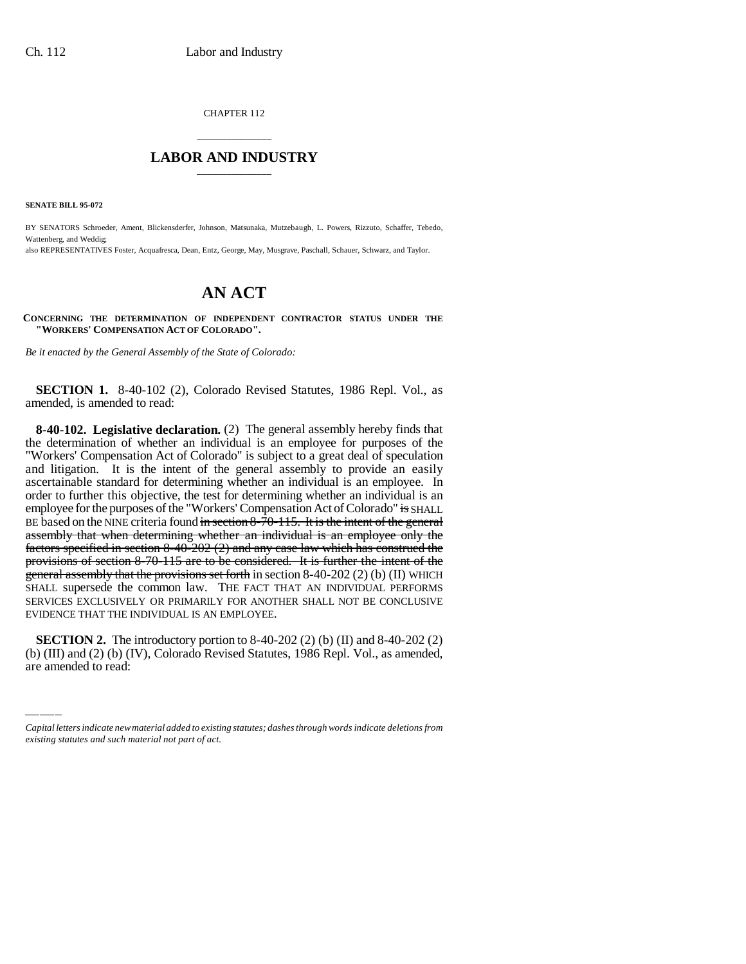CHAPTER 112

# \_\_\_\_\_\_\_\_\_\_\_\_\_\_\_ **LABOR AND INDUSTRY** \_\_\_\_\_\_\_\_\_\_\_\_\_\_\_

**SENATE BILL 95-072**

BY SENATORS Schroeder, Ament, Blickensderfer, Johnson, Matsunaka, Mutzebaugh, L. Powers, Rizzuto, Schaffer, Tebedo, Wattenberg, and Weddig;

also REPRESENTATIVES Foster, Acquafresca, Dean, Entz, George, May, Musgrave, Paschall, Schauer, Schwarz, and Taylor.

# **AN ACT**

**CONCERNING THE DETERMINATION OF INDEPENDENT CONTRACTOR STATUS UNDER THE "WORKERS' COMPENSATION ACT OF COLORADO".**

*Be it enacted by the General Assembly of the State of Colorado:*

**SECTION 1.** 8-40-102 (2), Colorado Revised Statutes, 1986 Repl. Vol., as amended, is amended to read:

 $L$ ,  $L$ ,  $L$ ,  $L$ **8-40-102. Legislative declaration.** (2) The general assembly hereby finds that the determination of whether an individual is an employee for purposes of the "Workers' Compensation Act of Colorado" is subject to a great deal of speculation and litigation. It is the intent of the general assembly to provide an easily ascertainable standard for determining whether an individual is an employee. In order to further this objective, the test for determining whether an individual is an employee for the purposes of the "Workers' Compensation Act of Colorado" is SHALL BE based on the NINE criteria found in section 8-70-115. It is the intent of the general assembly that when determining whether an individual is an employee only the factors specified in section 8-40-202 (2) and any case law which has construed the provisions of section 8-70-115 are to be considered. It is further the intent of the general assembly that the provisions set forth in section 8-40-202 (2) (b) (II) WHICH SHALL supersede the common law. THE FACT THAT AN INDIVIDUAL PERFORMS SERVICES EXCLUSIVELY OR PRIMARILY FOR ANOTHER SHALL NOT BE CONCLUSIVE EVIDENCE THAT THE INDIVIDUAL IS AN EMPLOYEE.

**SECTION 2.** The introductory portion to 8-40-202 (2) (b) (II) and 8-40-202 (2) (b) (III) and (2) (b) (IV), Colorado Revised Statutes, 1986 Repl. Vol., as amended, are amended to read:

*Capital letters indicate new material added to existing statutes; dashes through words indicate deletions from existing statutes and such material not part of act.*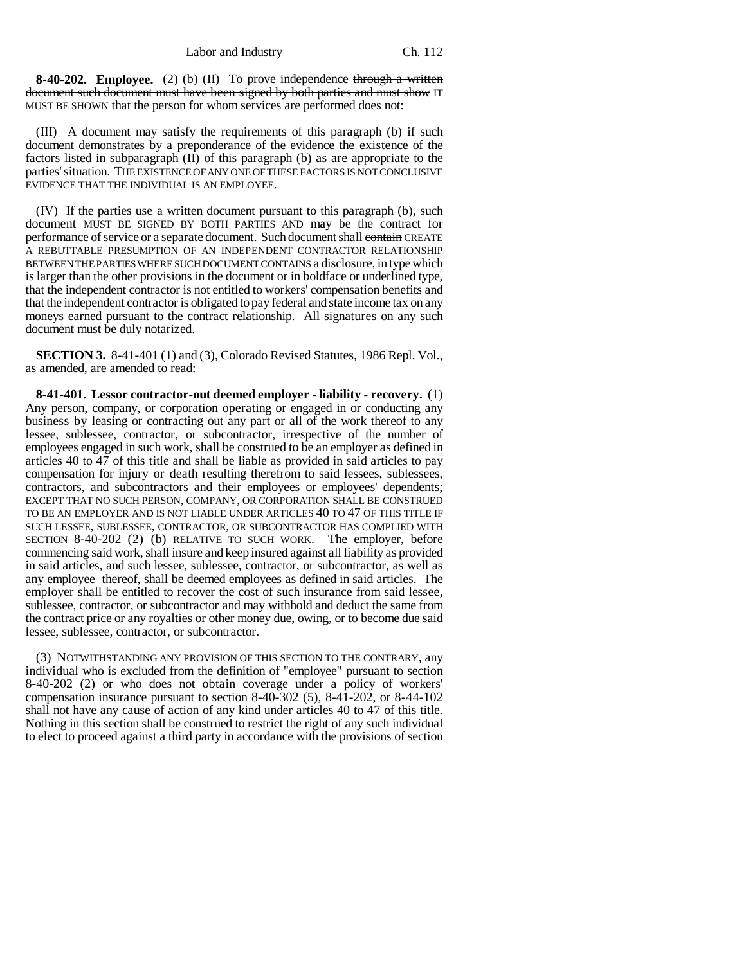### Labor and Industry Ch. 112

**8-40-202. Employee.** (2) (b) (II) To prove independence through a written document such document must have been signed by both parties and must show IT MUST BE SHOWN that the person for whom services are performed does not:

(III) A document may satisfy the requirements of this paragraph (b) if such document demonstrates by a preponderance of the evidence the existence of the factors listed in subparagraph (II) of this paragraph (b) as are appropriate to the parties' situation. THE EXISTENCE OF ANY ONE OF THESE FACTORS IS NOT CONCLUSIVE EVIDENCE THAT THE INDIVIDUAL IS AN EMPLOYEE.

(IV) If the parties use a written document pursuant to this paragraph (b), such document MUST BE SIGNED BY BOTH PARTIES AND may be the contract for performance of service or a separate document. Such document shall contain CREATE A REBUTTABLE PRESUMPTION OF AN INDEPENDENT CONTRACTOR RELATIONSHIP BETWEEN THE PARTIES WHERE SUCH DOCUMENT CONTAINS a disclosure, in type which is larger than the other provisions in the document or in boldface or underlined type, that the independent contractor is not entitled to workers' compensation benefits and that the independent contractor is obligated to pay federal and state income tax on any moneys earned pursuant to the contract relationship. All signatures on any such document must be duly notarized.

**SECTION 3.** 8-41-401 (1) and (3), Colorado Revised Statutes, 1986 Repl. Vol., as amended, are amended to read:

**8-41-401. Lessor contractor-out deemed employer - liability - recovery.** (1) Any person, company, or corporation operating or engaged in or conducting any business by leasing or contracting out any part or all of the work thereof to any lessee, sublessee, contractor, or subcontractor, irrespective of the number of employees engaged in such work, shall be construed to be an employer as defined in articles 40 to 47 of this title and shall be liable as provided in said articles to pay compensation for injury or death resulting therefrom to said lessees, sublessees, contractors, and subcontractors and their employees or employees' dependents; EXCEPT THAT NO SUCH PERSON, COMPANY, OR CORPORATION SHALL BE CONSTRUED TO BE AN EMPLOYER AND IS NOT LIABLE UNDER ARTICLES 40 TO 47 OF THIS TITLE IF SUCH LESSEE, SUBLESSEE, CONTRACTOR, OR SUBCONTRACTOR HAS COMPLIED WITH SECTION 8-40-202 (2) (b) RELATIVE TO SUCH WORK. The employer, before commencing said work, shall insure and keep insured against all liability as provided in said articles, and such lessee, sublessee, contractor, or subcontractor, as well as any employee thereof, shall be deemed employees as defined in said articles. The employer shall be entitled to recover the cost of such insurance from said lessee, sublessee, contractor, or subcontractor and may withhold and deduct the same from the contract price or any royalties or other money due, owing, or to become due said lessee, sublessee, contractor, or subcontractor.

(3) NOTWITHSTANDING ANY PROVISION OF THIS SECTION TO THE CONTRARY, any individual who is excluded from the definition of "employee" pursuant to section 8-40-202 (2) or who does not obtain coverage under a policy of workers' compensation insurance pursuant to section 8-40-302 (5), 8-41-202, or 8-44-102 shall not have any cause of action of any kind under articles 40 to 47 of this title. Nothing in this section shall be construed to restrict the right of any such individual to elect to proceed against a third party in accordance with the provisions of section